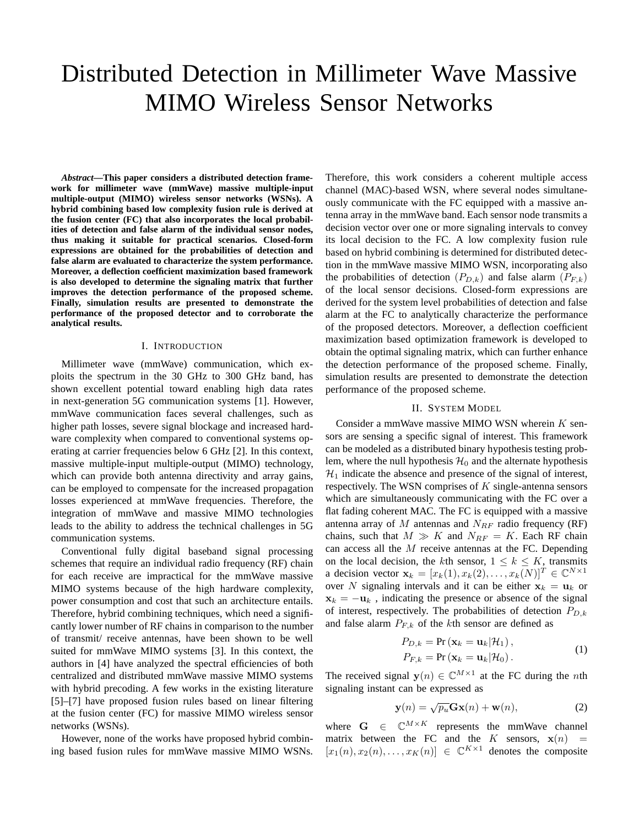# Distributed Detection in Millimeter Wave Massive MIMO Wireless Sensor Networks

*Abstract***—This paper considers a distributed detection framework for millimeter wave (mmWave) massive multiple-input multiple-output (MIMO) wireless sensor networks (WSNs). A hybrid combining based low complexity fusion rule is derived at the fusion center (FC) that also incorporates the local probabilities of detection and false alarm of the individual sensor nodes, thus making it suitable for practical scenarios. Closed-form expressions are obtained for the probabilities of detection and false alarm are evaluated to characterize the system performance. Moreover, a deflection coefficient maximization based framework is also developed to determine the signaling matrix that further improves the detection performance of the proposed scheme. Finally, simulation results are presented to demonstrate the performance of the proposed detector and to corroborate the analytical results.**

### I. INTRODUCTION

Millimeter wave (mmWave) communication, which exploits the spectrum in the 30 GHz to 300 GHz band, has shown excellent potential toward enabling high data rates in next-generation 5G communication systems [1]. However, mmWave communication faces several challenges, such as higher path losses, severe signal blockage and increased hardware complexity when compared to conventional systems operating at carrier frequencies below 6 GHz [2]. In this context, massive multiple-input multiple-output (MIMO) technology, which can provide both antenna directivity and array gains, can be employed to compensate for the increased propagation losses experienced at mmWave frequencies. Therefore, the integration of mmWave and massive MIMO technologies leads to the ability to address the technical challenges in 5G communication systems.

Conventional fully digital baseband signal processing schemes that require an individual radio frequency (RF) chain for each receive are impractical for the mmWave massive MIMO systems because of the high hardware complexity, power consumption and cost that such an architecture entails. Therefore, hybrid combining techniques, which need a significantly lower number of RF chains in comparison to the number of transmit/ receive antennas, have been shown to be well suited for mmWave MIMO systems [3]. In this context, the authors in [4] have analyzed the spectral efficiencies of both centralized and distributed mmWave massive MIMO systems with hybrid precoding. A few works in the existing literature [5]–[7] have proposed fusion rules based on linear filtering at the fusion center (FC) for massive MIMO wireless sensor networks (WSNs).

However, none of the works have proposed hybrid combining based fusion rules for mmWave massive MIMO WSNs.

Therefore, this work considers a coherent multiple access channel (MAC)-based WSN, where several nodes simultaneously communicate with the FC equipped with a massive antenna array in the mmWave band. Each sensor node transmits a decision vector over one or more signaling intervals to convey its local decision to the FC. A low complexity fusion rule based on hybrid combining is determined for distributed detection in the mmWave massive MIMO WSN, incorporating also the probabilities of detection  $(P_{D,k})$  and false alarm  $(P_{F,k})$ of the local sensor decisions. Closed-form expressions are derived for the system level probabilities of detection and false alarm at the FC to analytically characterize the performance of the proposed detectors. Moreover, a deflection coefficient maximization based optimization framework is developed to obtain the optimal signaling matrix, which can further enhance the detection performance of the proposed scheme. Finally, simulation results are presented to demonstrate the detection performance of the proposed scheme.

## II. SYSTEM MODEL

Consider a mmWave massive MIMO WSN wherein  $K$  sensors are sensing a specific signal of interest. This framework can be modeled as a distributed binary hypothesis testing problem, where the null hypothesis  $\mathcal{H}_0$  and the alternate hypothesis  $\mathcal{H}_1$  indicate the absence and presence of the signal of interest, respectively. The WSN comprises of  $K$  single-antenna sensors which are simultaneously communicating with the FC over a flat fading coherent MAC. The FC is equipped with a massive antenna array of  $M$  antennas and  $N_{RF}$  radio frequency (RF) chains, such that  $M \gg K$  and  $N_{RF} = K$ . Each RF chain can access all the  $M$  receive antennas at the FC. Depending on the local decision, the kth sensor,  $1 \leq k \leq K$ , transmits a decision vector  $\mathbf{x}_k = [x_k(1), x_k(2), \dots, x_k(N)]^T \in \mathbb{C}^{N \times 1}$ over N signaling intervals and it can be either  $x_k = u_k$  or  $x_k = -u_k$ , indicating the presence or absence of the signal of interest, respectively. The probabilities of detection  $P_{D,k}$ and false alarm  $P_{F,k}$  of the kth sensor are defined as

$$
P_{D,k} = \Pr\left(\mathbf{x}_k = \mathbf{u}_k | \mathcal{H}_1\right),
$$
  
\n
$$
P_{F,k} = \Pr\left(\mathbf{x}_k = \mathbf{u}_k | \mathcal{H}_0\right).
$$
 (1)

The received signal  $y(n) \in \mathbb{C}^{M \times 1}$  at the FC during the *n*th signaling instant can be expressed as

$$
\mathbf{y}(n) = \sqrt{p_u} \mathbf{G} \mathbf{x}(n) + \mathbf{w}(n), \tag{2}
$$

where  $G \in \mathbb{C}^{M \times K}$  represents the mmWave channel matrix between the FC and the K sensors,  $\mathbf{x}(n)$  =  $[x_1(n), x_2(n), \ldots, x_K(n)] \in \mathbb{C}^{K \times 1}$  denotes the composite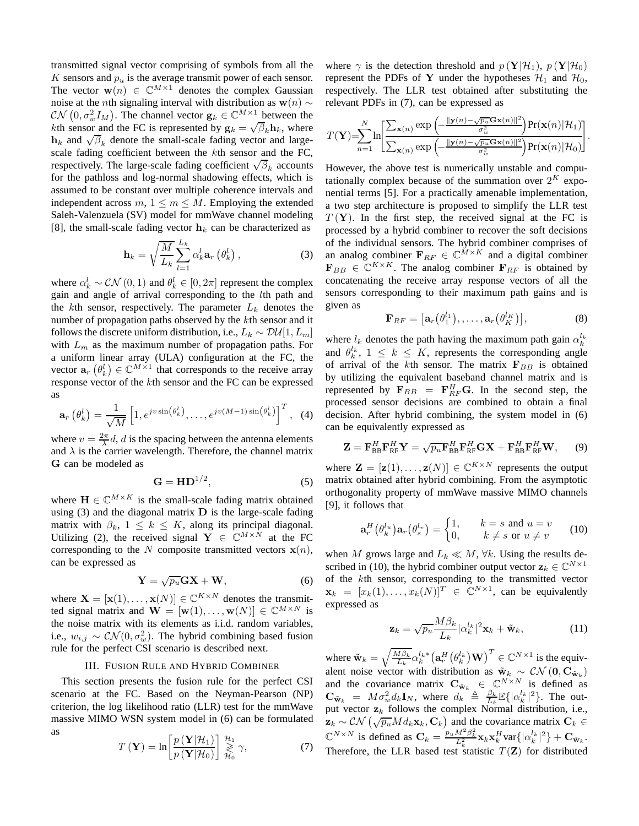transmitted signal vector comprising of symbols from all the K sensors and  $p_u$  is the average transmit power of each sensor. The vector  $\mathbf{w}(n) \in \mathbb{C}^{M \times 1}$  denotes the complex Gaussian noise at the *n*th signaling interval with distribution as  $w(n)$  ∼  $\mathcal{CN}\left(0, \sigma_w^2 I_M\right)$ . The channel vector  $\mathbf{g}_k \in \mathbb{C}^{M \times 1}$  between the kth sensor and the FC is represented by  $\mathbf{g}_k = \sqrt{\beta_k} \mathbf{h}_k$ , where  $h_k$  and  $\sqrt{\beta_k}$  denote the small-scale fading vector and largescale fading coefficient between the kth sensor and the FC, respectively. The large-scale fading coefficient  $\sqrt{\beta_k}$  accounts for the pathloss and log-normal shadowing effects, which is assumed to be constant over multiple coherence intervals and independent across  $m, 1 \le m \le M$ . Employing the extended Saleh-Valenzuela (SV) model for mmWave channel modeling [8], the small-scale fading vector  $h_k$  can be characterized as

$$
\mathbf{h}_{k} = \sqrt{\frac{M}{L_{k}}} \sum_{l=1}^{L_{k}} \alpha_{k}^{l} \mathbf{a}_{r} \left(\theta_{k}^{l}\right), \qquad (3)
$$

where  $\alpha_k^l \sim \mathcal{CN}(0, 1)$  and  $\theta_k^l \in [0, 2\pi]$  represent the complex gain and angle of arrival corresponding to the lth path and the kth sensor, respectively. The parameter  $L_k$  denotes the number of propagation paths observed by the kth sensor and it follows the discrete uniform distribution, i.e.,  $L_k \sim \mathcal{D} \mathcal{U}[1, L_m]$ with  $L_m$  as the maximum number of propagation paths. For a uniform linear array (ULA) configuration at the FC, the vector  $\mathbf{a}_r \left( \theta_k^l \right) \in \mathbb{C}^{M \times 1}$  that corresponds to the receive array response vector of the kth sensor and the FC can be expressed as

$$
\mathbf{a}_r\left(\theta_k^l\right) = \frac{1}{\sqrt{M}}\left[1, e^{j v \sin\left(\theta_k^l\right)}, \dots, e^{j v (M-1) \sin\left(\theta_k^l\right)}\right]^T, \quad (4)
$$

where  $v = \frac{2\pi}{\lambda}d$ , d is the spacing between the antenna elements and  $\lambda$  is the carrier wavelength. Therefore, the channel matrix G can be modeled as

$$
\mathbf{G} = \mathbf{H} \mathbf{D}^{1/2},\tag{5}
$$

where  $\mathbf{H} \in \mathbb{C}^{M \times K}$  is the small-scale fading matrix obtained using  $(3)$  and the diagonal matrix  $D$  is the large-scale fading matrix with  $\beta_k$ ,  $1 \leq k \leq K$ , along its principal diagonal. Utilizing (2), the received signal  $Y \in \mathbb{C}^{M \times N}$  at the FC corresponding to the N composite transmitted vectors  $\mathbf{x}(n)$ , can be expressed as

$$
\mathbf{Y} = \sqrt{p_u} \mathbf{G} \mathbf{X} + \mathbf{W},\tag{6}
$$

where  $\mathbf{X} = [\mathbf{x}(1), \dots, \mathbf{x}(N)] \in \mathbb{C}^{K \times N}$  denotes the transmitted signal matrix and  $\mathbf{W} = [\mathbf{w}(1), \dots, \mathbf{w}(N)] \in \mathbb{C}^{M \times N}$  is the noise matrix with its elements as i.i.d. random variables, i.e.,  $w_{i,j} \sim \mathcal{CN}(0, \sigma_w^2)$ . The hybrid combining based fusion rule for the perfect CSI scenario is described next.

## III. FUSION RULE AND HYBRID COMBINER

This section presents the fusion rule for the perfect CSI scenario at the FC. Based on the Neyman-Pearson (NP) criterion, the log likelihood ratio (LLR) test for the mmWave massive MIMO WSN system model in (6) can be formulated as

$$
T(\mathbf{Y}) = \ln \left[ \frac{p(\mathbf{Y}|\mathcal{H}_1)}{p(\mathbf{Y}|\mathcal{H}_0)} \right] \underset{\mathcal{H}_0}{\overset{\mathcal{H}_1}{\gtrless}} \gamma, \tag{7}
$$

where  $\gamma$  is the detection threshold and  $p(\mathbf{Y}|\mathcal{H}_1)$ ,  $p(\mathbf{Y}|\mathcal{H}_0)$ represent the PDFs of Y under the hypotheses  $\mathcal{H}_1$  and  $\mathcal{H}_0$ , respectively. The LLR test obtained after substituting the relevant PDFs in (7), can be expressed as

$$
T(\mathbf{Y})\!\!=\!\!\!\sum_{n=1}^{N}\!\ln\!\!\left[\!\frac{\sum_{\mathbf{x}(n)}\exp\left(\!-\frac{\|\mathbf{y}(n)-\!\sqrt{p_u}\mathbf{G}\mathbf{x}(n)\|^2}{\sigma_w^2}\!\right)\!\Pr(\mathbf{x}(n)|\mathcal{H}_1)}{\sum_{\mathbf{x}(n)}\exp\left(\!-\frac{\|\mathbf{y}(n)-\!\sqrt{p_u}\mathbf{G}\mathbf{x}(n)\|^2}{\sigma_w^2}\!\right)\!\Pr(\mathbf{x}(n)|\mathcal{H}_0)}\!\right]\!.
$$

However, the above test is numerically unstable and computationally complex because of the summation over  $2^K$  exponential terms [5]. For a practically amenable implementation, a two step architecture is proposed to simplify the LLR test  $T(Y)$ . In the first step, the received signal at the FC is processed by a hybrid combiner to recover the soft decisions of the individual sensors. The hybrid combiner comprises of an analog combiner  $\mathbf{F}_{RF} \in \mathbb{C}^{\tilde{M} \times K}$  and a digital combiner  $\mathbf{F}_{BB} \in \mathbb{C}^{K \times K}$ . The analog combiner  $\mathbf{F}_{RF}$  is obtained by concatenating the receive array response vectors of all the sensors corresponding to their maximum path gains and is given as

$$
\mathbf{F}_{RF} = \left[ \mathbf{a}_r \left( \theta_1^{l_1} \right), \dots, \mathbf{a}_r \left( \theta_K^{l_K} \right) \right], \tag{8}
$$

where  $l_k$  denotes the path having the maximum path gain  $\alpha_k^{l_k}$ and  $\theta_k^{l_k}$ ,  $1 \leq k \leq K$ , represents the corresponding angle of arrival of the kth sensor. The matrix  $F_{BB}$  is obtained by utilizing the equivalent baseband channel matrix and is represented by  $\mathbf{F}_{BB} = \mathbf{F}_{RF}^H \mathbf{G}$ . In the second step, the processed sensor decisions are combined to obtain a final decision. After hybrid combining, the system model in (6) can be equivalently expressed as

$$
\mathbf{Z} = \mathbf{F}_{\text{BB}}^H \mathbf{F}_{\text{RF}}^H \mathbf{Y} = \sqrt{p_u} \mathbf{F}_{\text{BB}}^H \mathbf{F}_{\text{RF}}^H \mathbf{G} \mathbf{X} + \mathbf{F}_{\text{BB}}^H \mathbf{F}_{\text{RF}}^H \mathbf{W}, \qquad (9)
$$

where  $\mathbf{Z} = [\mathbf{z}(1), \dots, \mathbf{z}(N)] \in \mathbb{C}^{K \times N}$  represents the output matrix obtained after hybrid combining. From the asymptotic orthogonality property of mmWave massive MIMO channels [9], it follows that

$$
\mathbf{a}_r^H(\theta_k^{l_u})\mathbf{a}_r(\theta_s^{l_v}) = \begin{cases} 1, & k=s \text{ and } u=v\\ 0, & k \neq s \text{ or } u \neq v \end{cases} \tag{10}
$$

when M grows large and  $L_k \ll M$ ,  $\forall k$ . Using the results described in (10), the hybrid combiner output vector  $\mathbf{z}_k \in \mathbb{C}^{N \times 1}$ of the kth sensor, corresponding to the transmitted vector  $\mathbf{x}_k = [x_k(1), \dots, x_k(N)]^T \in \mathbb{C}^{N \times 1}$ , can be equivalently expressed as

$$
\mathbf{z}_k = \sqrt{p_u} \frac{M\beta_k}{L_k} |\alpha_k^{l_k}|^2 \mathbf{x}_k + \tilde{\mathbf{w}}_k, \qquad (11)
$$

where  $\tilde{\mathbf{w}}_k = \sqrt{\frac{M\beta_k}{L_k}}\alpha_k^{l_k*}\big(\mathbf{a}_r^H\big(\theta_k^{l_k}\big)\mathbf{W}\big)^T\in\mathbb{C}^{N\times 1}$  is the equivalent noise vector with distribution as  $\tilde{w}_k \sim \mathcal{CN} (0, \mathbf{C}_{\tilde{\mathbf{w}}_k})$ and the covariance matrix  $\mathbf{C}_{\tilde{\mathbf{w}}_k} \in \mathbb{C}^{N \times N}$  is defined as  $\mathbf{C}_{\tilde{\mathbf{w}}_k} = M \sigma_w^2 d_k \mathbf{I}_N$ , where  $d_k \triangleq \frac{\beta_k}{L_k} \mathbb{E} \{ |\alpha_k^{l_k}|^2 \}$ . The output vector  $z_k$  follows the complex Normal distribution, i.e.,  $\mathbf{z}_k \sim \mathcal{CN}\left(\sqrt{p_u}Md_k\mathbf{x}_k,\mathbf{C}_k\right)$  and the covariance matrix  $\mathbf{C}_k \in$  $\mathbb{C}^{N \times N}$  is defined as  $\mathbf{C}_k = \frac{p_u M^2 \beta_k^2}{L_k^2} \mathbf{x}_k \mathbf{x}_k^H \text{var} \{ |\alpha_k^{l_k}|^2 \} + \mathbf{C}_{\tilde{\mathbf{w}}_k}.$ Therefore, the LLR based test statistic  $T(\mathbf{Z})$  for distributed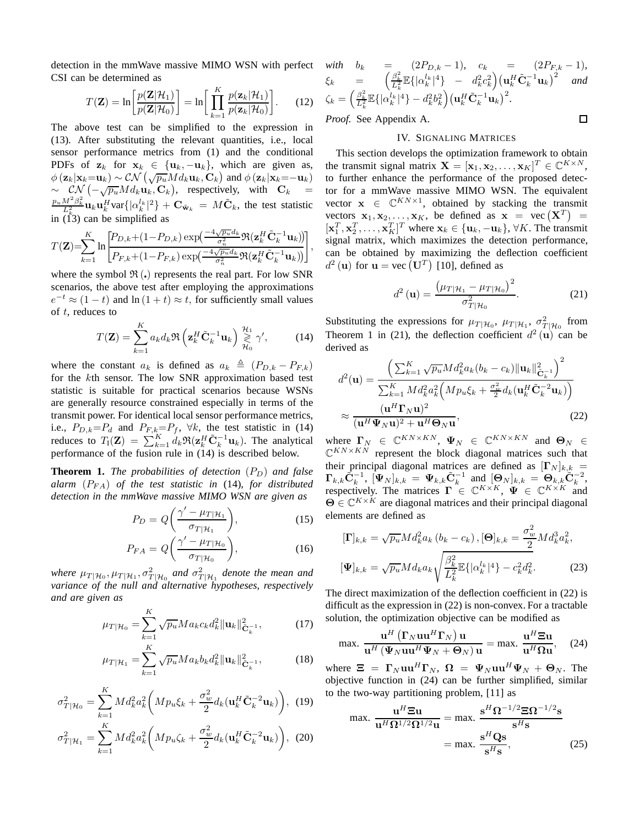detection in the mmWave massive MIMO WSN with perfect CSI can be determined as

$$
T(\mathbf{Z}) = \ln \left[ \frac{p(\mathbf{Z}|\mathcal{H}_1)}{p(\mathbf{Z}|\mathcal{H}_0)} \right] = \ln \left[ \prod_{k=1}^{K} \frac{p(\mathbf{z}_k|\mathcal{H}_1)}{p(\mathbf{z}_k|\mathcal{H}_0)} \right].
$$
 (12)

The above test can be simplified to the expression in (13). After substituting the relevant quantities, i.e., local sensor performance metrics from (1) and the conditional PDFs of  $z_k$  for  $x_k \in \{u_k, -u_k\}$ , which are given as,  $\phi(\mathbf{z}_k|\mathbf{x}_k=\mathbf{u}_k) \sim \mathcal{CN}(\sqrt{p_u}Md_k\mathbf{u}_k, \mathbf{C}_k)$  and  $\phi(\mathbf{z}_k|\mathbf{x}_k=-\mathbf{u}_k)$  $\sim \left[ \frac{\mathcal{CN}}{\sqrt{p_u}} \left( -\sqrt{p_u} M d_k \mathbf{u}_k \right) \right]$ , respectively, with  $\mathbf{C}_k =$  $\frac{p_u M^2 \beta_k^2}{L_k^2}$ **u**<sub>k</sub>  $\mathbf{u}_k^H$ var $\{|\alpha_k^{l_k}|^2\} + \mathbf{C}_{\tilde{\mathbf{w}}_k} = M\tilde{\mathbf{C}}_k$ , the test statistic in  $(I^k3)$  can be simplified as

$$
T(\mathbf{Z})\mathbf{=}\!\!\sum_{k=1}^K\ln\!\frac{\left[P_{D,k}\!+\!(1\!-\!P_{D,k})\exp\!\left(\frac{-4\sqrt{p_u}d_k}{\sigma_n^2}\Re(\mathbf{z}_{k}^H\tilde{\mathbf{C}}_k^{-1}\mathbf{u}_{k})\right)\right]}{P_{F,k}\!+\!(1\!-\!P_{F,k})\exp\!\left(\frac{-4\sqrt{p_u}d_k}{\sigma_n^2}\Re(\mathbf{z}_{k}^H\tilde{\mathbf{C}}_k^{-1}\mathbf{u}_{k})\right)}\!\right]},
$$

where the symbol  $\mathfrak{R}$  (.) represents the real part. For low SNR scenarios, the above test after employing the approximations  $e^{-t} \approx (1 - t)$  and  $\ln(1 + t) \approx t$ , for sufficiently small values of t, reduces to

$$
T(\mathbf{Z}) = \sum_{k=1}^{K} a_k d_k \Re \left( \mathbf{z}_k^H \tilde{\mathbf{C}}_k^{-1} \mathbf{u}_k \right) \underset{\mathcal{H}_0}{\overset{\mathcal{H}_1}{\gtrless}} \gamma', \quad (14)
$$

where the constant  $a_k$  is defined as  $a_k \triangleq (P_{D,k} - P_{F,k})$ for the kth sensor. The low SNR approximation based test statistic is suitable for practical scenarios because WSNs are generally resource constrained especially in terms of the transmit power. For identical local sensor performance metrics, i.e.,  $P_{D,k}=P_d$  and  $P_{F,k}=P_f$ ,  $\forall k$ , the test statistic in (14) reduces to  $T_1(\mathbf{Z}) = \sum_{k=1}^K d_k \Re(\mathbf{z}_k^H \tilde{\mathbf{C}}_k^{-1} \mathbf{u}_k)$ . The analytical performance of the fusion rule in (14) is described below.

**Theorem 1.** *The probabilities of detection*  $(P_D)$  *and false alarm*  $(P_{FA})$  *of the test statistic in* (14)*, for distributed detection in the mmWave massive MIMO WSN are given as*

$$
P_D = Q\left(\frac{\gamma' - \mu_{T|\mathcal{H}_1}}{\sigma_{T|\mathcal{H}_1}}\right),\tag{15}
$$

$$
P_{FA} = Q\left(\frac{\gamma' - \mu_{T|\mathcal{H}_0}}{\sigma_{T|\mathcal{H}_0}}\right),\tag{16}
$$

where  $\mu_{T|\mathcal{H}_0}, \mu_{T|\mathcal{H}_1}, \sigma^2_{T|\mathcal{H}_0}$  and  $\sigma^2_{T|\mathcal{H}_1}$  denote the mean and *variance of the null and alternative hypotheses, respectively and are given as*

$$
\mu_{T|\mathcal{H}_0} = \sum_{k=1}^K \sqrt{p_u} M a_k c_k d_k^2 \|\mathbf{u}_k\|_{\tilde{\mathbf{C}}_k^{-1}}^2,\tag{17}
$$

$$
\mu_{T|\mathcal{H}_1} = \sum_{k=1}^{K} \sqrt{p_u} Ma_k b_k d_k^2 ||\mathbf{u}_k||_{\tilde{\mathbf{C}}_k^{-1}}^2, \tag{18}
$$

$$
\sigma_{T|\mathcal{H}_0}^2 = \sum_{k=1}^K M d_k^2 a_k^2 \bigg( M p_u \xi_k + \frac{\sigma_w^2}{2} d_k (\mathbf{u}_k^H \tilde{\mathbf{C}}_k^{-2} \mathbf{u}_k) \bigg), \tag{19}
$$

$$
\sigma_{T|\mathcal{H}_1}^2 = \sum_{k=1}^K M d_k^2 a_k^2 \bigg( M p_u \zeta_k + \frac{\sigma_w^2}{2} d_k (\mathbf{u}_k^H \tilde{\mathbf{C}}_k^{-2} \mathbf{u}_k) \bigg), \tag{20}
$$

with 
$$
b_k = (2P_{D,k} - 1), c_k = (2P_{F,k} - 1),
$$
  
\n $\xi_k = \left(\frac{\beta_k^2}{L_k^2} \mathbb{E}\{|\alpha_k^{l_k}|^4\} - d_k^2 c_k^2\right) \left(\mathbf{u}_k^H \tilde{\mathbf{C}}_k^{-1} \mathbf{u}_k\right)^2$  and  
\n $\zeta_k = \left(\frac{\beta_k^2}{L_k^2} \mathbb{E}\{|\alpha_k^{l_k}|^4\} - d_k^2 b_k^2\right) \left(\mathbf{u}_k^H \tilde{\mathbf{C}}_k^{-1} \mathbf{u}_k\right)^2.$   
\n*Proof.* See Appendix A.

# IV. SIGNALING MATRICES

This section develops the optimization framework to obtain the transmit signal matrix  $\mathbf{X} = [\mathbf{x}_1, \mathbf{x}_2, \dots, \mathbf{x}_K]^T \in \mathbb{C}^{K \times N}$ , to further enhance the performance of the proposed detector for a mmWave massive MIMO WSN. The equivalent vector  $\mathbf{x} \in \mathbb{C}^{KN \times 1}$ , obtained by stacking the transmit vectors  $\mathbf{x}_1, \mathbf{x}_2, \dots, \mathbf{x}_K$ , be defined as  $\mathbf{x} = \text{vec}(\mathbf{X}^T) =$  $[\mathbf{x}_1^T, \mathbf{x}_2^T, \dots, \mathbf{x}_K^T]^T$  where  $\mathbf{x}_k \in {\mathbf{u}_k, -\mathbf{u}_k}$ ,  $\forall K$ . The transmit signal matrix, which maximizes the detection performance, can be obtained by maximizing the deflection coefficient  $d^2$  (**u**) for **u** = vec  $(\mathbf{U}^T)$  [10], defined as

$$
d^{2}\left(\mathbf{u}\right) = \frac{\left(\mu_{T|\mathcal{H}_{1}} - \mu_{T|\mathcal{H}_{0}}\right)^{2}}{\sigma_{T|\mathcal{H}_{0}}^{2}}.
$$
 (21)

Substituting the expressions for  $\mu_{T|\mathcal{H}_0}$ ,  $\mu_{T|\mathcal{H}_1}$ ,  $\sigma_{T|\mathcal{H}_0}^2$  from Theorem 1 in (21), the deflection coefficient  $d^2$  (**u**) can be derived as

$$
d^{2}(\mathbf{u}) = \frac{\left(\sum_{k=1}^{K} \sqrt{p_{u}} M d_{k}^{2} a_{k} (b_{k} - c_{k}) \|\mathbf{u}_{k}\|_{\tilde{\mathbf{C}}_{k}^{-1}}^{2}\right)^{2}}{\sum_{k=1}^{K} M d_{k}^{2} a_{k}^{2} \left(M p_{u} \xi_{k} + \frac{\sigma_{w}^{2}}{2} d_{k} (\mathbf{u}_{k}^{H} \tilde{\mathbf{C}}_{k}^{-2} \mathbf{u}_{k})\right)}
$$

$$
\approx \frac{(\mathbf{u}^{H} \mathbf{\Gamma}_{N} \mathbf{u})^{2}}{(\mathbf{u}^{H} \boldsymbol{\Psi}_{N} \mathbf{u})^{2} + \mathbf{u}^{H} \boldsymbol{\Theta}_{N} \mathbf{u}},
$$
(22)

where  $\mathbf{\Gamma}_N \in \mathbb{C}^{KN\times KN}$ ,  $\Psi_N \in \mathbb{C}^{KN\times KN}$  and  $\Theta_N \in \mathbb{C}^{KN\times KN}$  $\mathbb{C}^{KN\times KN}$  represent the block diagonal matrices such that their principal diagonal matrices are defined as  $[\Gamma_N]_{k,k} =$  $\mathbf{\Gamma}_{k,k}\tilde{\mathbf{C}}_k^{-1},\ [\mathbf{\Psi}_N]_{k,k} \ =\ \mathbf{\Psi}_{k,k}\tilde{\mathbf{C}}_k^{-1} \ \ \text{and} \ \ [\mathbf{\Theta}_N]_{k,k} \ =\ \mathbf{\Theta}_{k,k}\tilde{\mathbf{C}}_k^{-2},$ respectively. The matrices  $\mathbf{\Gamma} \in \mathbb{C}^{K \times K}$ ,  $\Psi \in \mathbb{C}^{K \times K}$  and  $\Theta \in \mathbb{C}^{K \times K}$  are diagonal matrices and their principal diagonal elements are defined as

$$
[\mathbf{\Gamma}]_{k,k} = \sqrt{p_u} M d_k^2 a_k (b_k - c_k), [\mathbf{\Theta}]_{k,k} = \frac{\sigma_w^2}{2} M d_k^3 a_k^2,
$$
  

$$
[\mathbf{\Psi}]_{k,k} = \sqrt{p_u} M d_k a_k \sqrt{\frac{\beta_k^2}{L_k^2} \mathbb{E}\{|\alpha_k^{l_k}|^4\} - c_k^2 d_k^2}.
$$
 (23)

The direct maximization of the deflection coefficient in (22) is difficult as the expression in (22) is non-convex. For a tractable solution, the optimization objective can be modified as

max. 
$$
\frac{\mathbf{u}^H (\Gamma_N \mathbf{u} \mathbf{u}^H \Gamma_N) \mathbf{u}}{\mathbf{u}^H (\Psi_N \mathbf{u} \mathbf{u}^H \Psi_N + \mathbf{\Theta}_N) \mathbf{u}} = \max. \frac{\mathbf{u}^H \Xi \mathbf{u}}{\mathbf{u}^H \Omega \mathbf{u}}, \quad (24)
$$

where  $\mathbf{\Xi} = \mathbf{\Gamma}_N \mathbf{u} \mathbf{u}^H \mathbf{\Gamma}_N$ ,  $\mathbf{\Omega} = \mathbf{\Psi}_N \mathbf{u} \mathbf{u}^H \mathbf{\Psi}_N + \mathbf{\Theta}_N$ . The objective function in (24) can be further simplified, similar to the two-way partitioning problem, [11] as

max. 
$$
\frac{\mathbf{u}^H \mathbf{\Xi} \mathbf{u}}{\mathbf{u}^H \Omega^{1/2} \Omega^{1/2} \mathbf{u}} = \max. \frac{\mathbf{s}^H \Omega^{-1/2} \mathbf{\Xi} \Omega^{-1/2} \mathbf{s}}{\mathbf{s}^H \mathbf{s}}
$$

$$
= \max. \frac{\mathbf{s}^H \mathbf{Q} \mathbf{s}}{\mathbf{s}^H \mathbf{s}}, \tag{25}
$$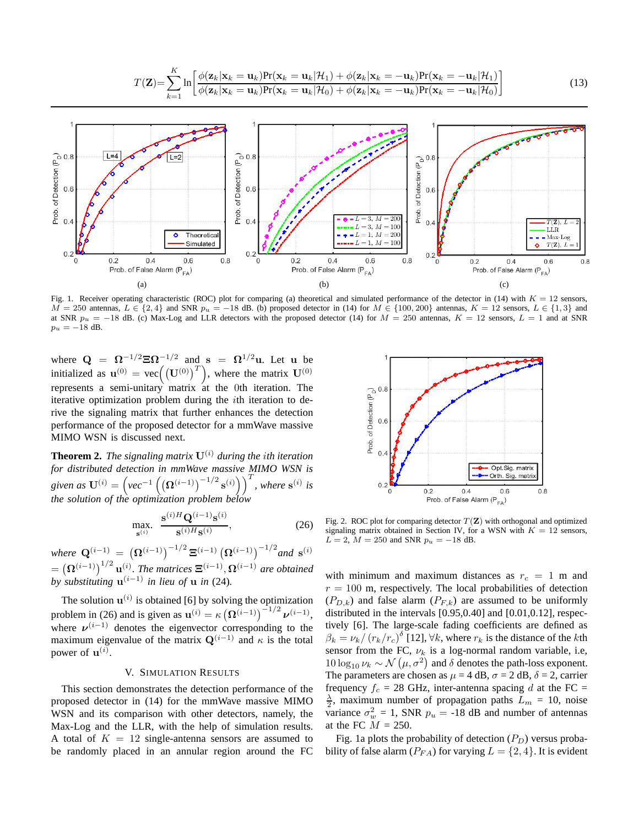$$
T(\mathbf{Z}) = \sum_{k=1}^{K} \ln \left[ \frac{\phi(\mathbf{z}_k | \mathbf{x}_k = \mathbf{u}_k) Pr(\mathbf{x}_k = \mathbf{u}_k | \mathcal{H}_1) + \phi(\mathbf{z}_k | \mathbf{x}_k = -\mathbf{u}_k) Pr(\mathbf{x}_k = -\mathbf{u}_k | \mathcal{H}_1)}{\phi(\mathbf{z}_k | \mathbf{x}_k = \mathbf{u}_k) Pr(\mathbf{x}_k = \mathbf{u}_k | \mathcal{H}_0) + \phi(\mathbf{z}_k | \mathbf{x}_k = -\mathbf{u}_k) Pr(\mathbf{x}_k = -\mathbf{u}_k | \mathcal{H}_0)} \right]
$$
(13)



Fig. 1. Receiver operating characteristic (ROC) plot for comparing (a) theoretical and simulated performance of the detector in (14) with  $K = 12$  sensors,  $\overline{M} = 250$  antennas,  $L \in \{2, 4\}$  and SNR  $p_u = -18$  dB. (b) proposed detector in (14) for  $M \in \{100, 200\}$  antennas,  $K = 12$  sensors,  $L \in \{1, 3\}$  and at SNR  $p_u = -18$  dB. (c) Max-Log and LLR detectors with the proposed detector (14) for  $M = 250$  antennas,  $K = 12$  sensors,  $L = 1$  and at SNR  $p_u = -18$  dB.

where  $\mathbf{Q} = \mathbf{\Omega}^{-1/2} \mathbf{\Xi} \mathbf{\Omega}^{-1/2}$  and  $\mathbf{s} = \mathbf{\Omega}^{1/2} \mathbf{u}$ . Let  $\mathbf{u}$  be initialized as  $\mathbf{u}^{(0)} = \text{vec}((\mathbf{U}^{(0)})^T)$ , where the matrix  $\mathbf{U}^{(0)}$ represents a semi-unitary matrix at the 0th iteration. The iterative optimization problem during the ith iteration to derive the signaling matrix that further enhances the detection performance of the proposed detector for a mmWave massive MIMO WSN is discussed next.

**Theorem 2.** *The signaling matrix*  $U^{(i)}$  *during the ith iteration for distributed detection in mmWave massive MIMO WSN is given as*  $\mathbf{U}^{(i)} = \left( \nu e^{-1} \left( \left( \mathbf{\Omega}^{(i-1)} \right)^{-1/2} \mathbf{s}^{(i)} \right) \right)^T$ *, where*  $\mathbf{s}^{(i)}$  *is the solution of the optimization problem below*

$$
\max_{\mathbf{s}^{(i)}} \ \ \frac{\mathbf{s}^{(i)H}\mathbf{Q}^{(i-1)}\mathbf{s}^{(i)}}{\mathbf{s}^{(i)H}\mathbf{s}^{(i)}},\tag{26}
$$

 $where \ \mathbf{Q}^{(i-1)} \ = \ \left( \mathbf{\Omega}^{(i-1)} \right)^{-1/2} \mathbf{\Xi}^{(i-1)} \left( \mathbf{\Omega}^{(i-1)} \right)^{-1/2}$  and  $\mathbf{s}^{(i)}$  $=\left(\mathbf{\Omega}^{(i-1)}\right)^{1/2}\mathbf{u}^{(i)}$ . The matrices  $\mathbf{\Xi}^{(i-1)}$ ,  $\mathbf{\Omega}^{(i-1)}$  are obtained *by substituting*  $\mathbf{u}^{(i-1)}$  *in lieu of* **u** *in* (24).

The solution  $\mathbf{u}^{(i)}$  is obtained [6] by solving the optimization problem in (26) and is given as  $\mathbf{u}^{(i)} = \kappa (\mathbf{\Omega}^{(i-1)})^{-1/2} \boldsymbol{\nu}^{(i-1)}$ , where  $\nu^{(i-1)}$  denotes the eigenvector corresponding to the maximum eigenvalue of the matrix  $\mathbf{Q}^{(i-1)}$  and  $\kappa$  is the total power of  $\mathbf{u}^{(i)}$ .

# V. SIMULATION RESULTS

This section demonstrates the detection performance of the proposed detector in (14) for the mmWave massive MIMO WSN and its comparison with other detectors, namely, the Max-Log and the LLR, with the help of simulation results. A total of  $K = 12$  single-antenna sensors are assumed to be randomly placed in an annular region around the FC



Fig. 2. ROC plot for comparing detector  $T(\mathbf{Z})$  with orthogonal and optimized signaling matrix obtained in Section IV, for a WSN with  $K = 12$  sensors,  $L = 2$ ,  $M = 250$  and SNR  $p_u = -18$  dB.

with minimum and maximum distances as  $r_c = 1$  m and  $r = 100$  m, respectively. The local probabilities of detection  $(P_{D,k})$  and false alarm  $(P_{F,k})$  are assumed to be uniformly distributed in the intervals [0.95,0.40] and [0.01,0.12], respectively [6]. The large-scale fading coefficients are defined as  $\beta_k = \nu_k / (r_k/r_c)^{\delta}$  [12],  $\forall k$ , where  $r_k$  is the distance of the *k*th sensor from the FC,  $\nu_k$  is a log-normal random variable, i.e, 10 log<sub>10</sub>  $\nu_k \sim \mathcal{N}(\mu, \sigma^2)$  and δ denotes the path-loss exponent. The parameters are chosen as  $\mu = 4$  dB,  $\sigma = 2$  dB,  $\delta = 2$ , carrier frequency  $f_c = 28$  GHz, inter-antenna spacing d at the FC =  $\frac{\lambda}{2}$ , maximum number of propagation paths  $L_m = 10$ , noise variance  $\sigma_w^2 = 1$ , SNR  $p_u = -18$  dB and number of antennas at the FC  $M = 250$ .

Fig. 1a plots the probability of detection  $(P_D)$  versus probability of false alarm  $(P_{FA})$  for varying  $L = \{2, 4\}$ . It is evident